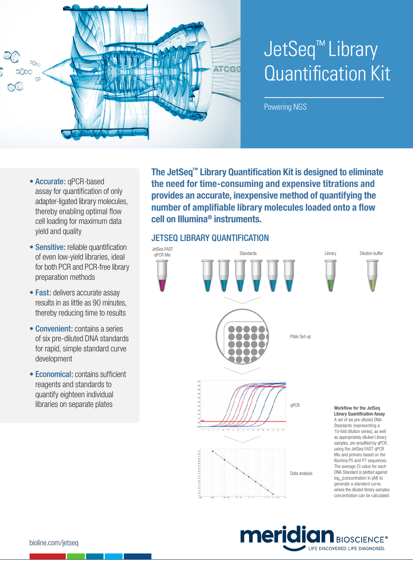

# JetSeq™ Library Quantification Kit

Powering NGS

- Accurate: qPCR-based assay for quantification of only adapter‑ligated library molecules, thereby enabling optimal flow cell loading for maximum data yield and quality
- Sensitive: reliable quantification of even low‑yield libraries, ideal for both PCR and PCR‑free library preparation methods
- Fast: delivers accurate assay results in as little as 90 minutes, thereby reducing time to results
- Convenient: contains a series of six pre‑diluted DNA standards for rapid, simple standard curve development
- Economical: contains sufficient reagents and standards to quantify eighteen individual libraries on separate plates

**The JetSeq™ Library Quantification Kit is designed to eliminate the need for time‑consuming and expensive titrations and provides an accurate, inexpensive method of quantifying the number of amplifiable library molecules loaded onto a flow cell on Illumina® instruments.**

## JETSEQ LIBRARY QUANTIFICATION



meridia **BIOSCIENCE®** LIFE DISCOVERED. LIFE DIAGNOSED.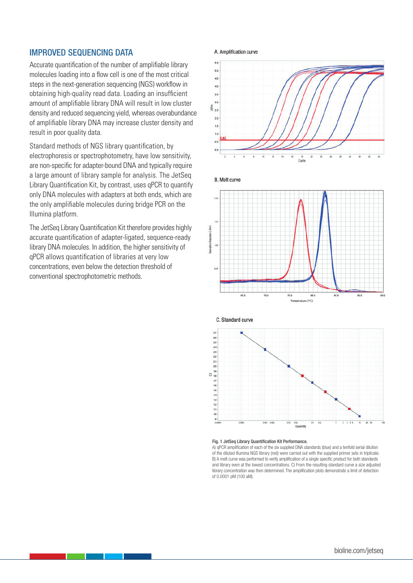#### IMPROVED SEQUENCING DATA

Accurate quantification of the number of amplifiable library molecules loading into a flow cell is one of the most critical steps in the next-generation sequencing (NGS) workflow in obtaining high‑quality read data. Loading an insufficient amount of amplifiable library DNA will result in low cluster density and reduced sequencing yield, whereas overabundance of amplifiable library DNA may increase cluster density and result in poor quality data.

Standard methods of NGS library quantification, by electrophoresis or spectrophotometry, have low sensitivity, are non-specific for adapter-bound DNA and typically require a large amount of library sample for analysis. The JetSeq Library Quantification Kit, by contrast, uses qPCR to quantify only DNA molecules with adapters at both ends, which are the only amplifiable molecules during bridge PCR on the Illumina platform.

The JetSeq Library Quantification Kit therefore provides highly accurate quantification of adapter-ligated, sequence-ready library DNA molecules. In addition, the higher sensitivity of qPCR allows quantification of libraries at very low concentrations, even below the detection threshold of conventional spectrophotometric methods.







#### Fig. 1 JetSeq Library Quantification Kit Performance.

 $\frac{1}{2}$ 

 $\overline{160}$ 

do s Temperature (°C)

A) qPCR amplification of each of the six supplied DNA standards (blue) and a tenfold serial dilution of the diluted Illumina NGS library (red) were carried out with the supplied primer sets in triplicate. B) A melt curve was performed to verify amplification of a single specific product for both standards and library even at the lowest concentrations. C) From the resulting standard curve a size adjusted library concentration was then determined. The amplification plots demonstrate a limit of detection of 0.0001 pM (100 aM).